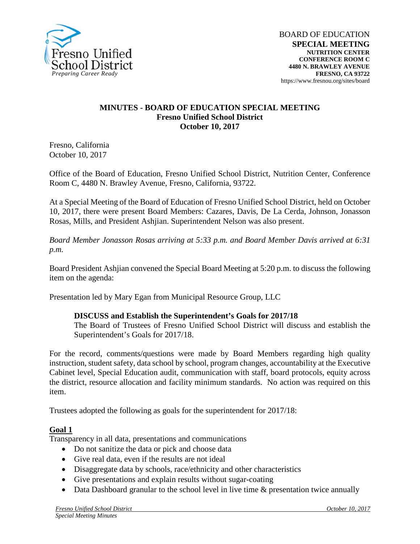

#### **MINUTES - BOARD OF EDUCATION SPECIAL MEETING Fresno Unified School District October 10, 2017**

Fresno, California October 10, 2017

Office of the Board of Education, Fresno Unified School District, Nutrition Center, Conference Room C, 4480 N. Brawley Avenue, Fresno, California, 93722.

At a Special Meeting of the Board of Education of Fresno Unified School District, held on October 10, 2017, there were present Board Members: Cazares, Davis, De La Cerda, Johnson, Jonasson Rosas, Mills, and President Ashjian. Superintendent Nelson was also present.

*Board Member Jonasson Rosas arriving at 5:33 p.m. and Board Member Davis arrived at 6:31 p.m.* 

Board President Ashjian convened the Special Board Meeting at 5:20 p.m. to discuss the following item on the agenda:

Presentation led by Mary Egan from Municipal Resource Group, LLC

### **DISCUSS and Establish the Superintendent's Goals for 2017/18**

The Board of Trustees of Fresno Unified School District will discuss and establish the Superintendent's Goals for 2017/18.

For the record, comments/questions were made by Board Members regarding high quality instruction, student safety, data school by school, program changes, accountability at the Executive Cabinet level, Special Education audit, communication with staff, board protocols, equity across the district, resource allocation and facility minimum standards. No action was required on this item.

Trustees adopted the following as goals for the superintendent for 2017/18:

### **Goal 1**

Transparency in all data, presentations and communications

- Do not sanitize the data or pick and choose data
- Give real data, even if the results are not ideal
- Disaggregate data by schools, race/ethnicity and other characteristics
- Give presentations and explain results without sugar-coating
- Data Dashboard granular to the school level in live time & presentation twice annually